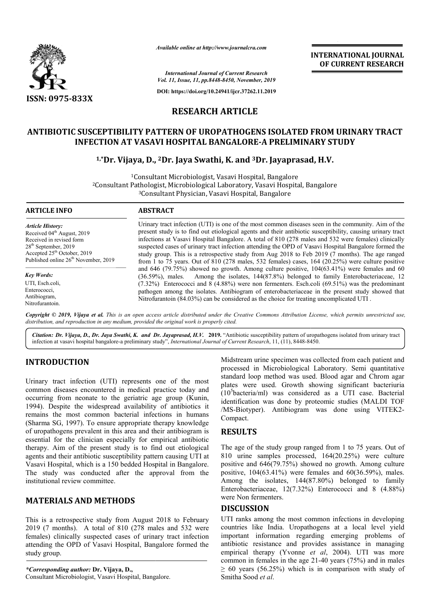

*Available online at http://www.journalcra.com*

*International Journal of Current Research Vol. 11, Issue, 11, pp.8448-8450, November, 2019*

**DOI: https://doi.org/10.24941/ijcr.37262.11.2019**

# **RESEARCH ARTICLE**

## ANTIBIOTIC SUSCEPTIBILITY PATTERN OF UROPATHOGENS ISOLATED FROM URINARY TRACT<br>INFECTION AT VASAVI HOSPITAL BANGALORE-A PRELIMINARY STUDY **INFECTION AT VASAVI HOSPITAL BANGALORE BANGALORE-A PRELIMINARY STUDY**

## **1,\*Dr. Vijaya, D., Dr. 2Dr. Jaya Swathi, K. and 3Dr. Jayaprasad, H.V.**

<sup>1</sup>Consultant Microbiologist, Vasavi Hospital, Bangalore <sup>2</sup>Consultant Pathologist, Microbiological Laboratory, Vasavi Hospital, Bangalore <sup>3</sup>Consultant Physician, Vasavi Hospital, Bangalore

*Article History:* Received 04<sup>th</sup> August, 2019 Received in revised form 28th September, 2019 Accepted 25<sup>th</sup> October, 2019 Published online 26<sup>th</sup> November, 2019

*Key Words:* UTI, Esch.coli, Enterococci, Antibiogram, Nitrofurantoin.

**ARTICLE INFO ABSTRACT**

Urinary tract infection (UTI) is one of the most common diseases seen in the community. Aim of the present study is to find out etiological agents and their antibiotic susceptibility, causing urinary tract infections at Vasavi Hospital Bangalore. A total of 810 (278 males and 532 were females) clinically suspected cases of urinary tract infection attending the OPD of Vasavi Hospital Bangalore formed the study group. This is a retrospective study from Aug 2018 to Feb 2019 (7 months). The age ranged from 1 to 75 years. Out of 810 (278 males, 532 females) cases, 164 (20.25%) were culture positive and 646 (79.75%) showed no growth. Among culture positive, 104(63.41%) were females and 60 (36.59%), males. Among the isolates, 144(87.8%) belonged to family Enterobacteriaceae, 12 (7.32%) Enterococci and 8 (4.88%) were non fermenters. Esch.coli (69.51%) was the predominant  $(7.32%)$  Enterococci and 8  $(4.88%)$  were non fermenters. Esch.coli  $(69.51%)$  was the predominant pathogen among the isolates. Antibiogram of enterobacteriaceae in the present study showed that Nitrofurantoin (84.03%) can be considered as the choice for treating uncomplicated UTI . Urinary tract infection (UTI) is one of the most common diseases seen in the community. Aim of the present study is to find out etiological agents and their antibiotic susceptibility, causing urinary tract infections at Va **ENAMTIONAL JOURNAL FOURNAL FOURNAL FOURNAL FOURNAT RESEARCH FOURNAT RESEARCH STUDY**<br> **I** the community. Aim of the only and the community and the state of production of the ptibility, causing urinary tract 1532 were femal

Copyright © 2019, Vijaya et al. This is an open access article distributed under the Creative Commons Attribution License, which permits unrestricted use, *distribution, and reproduction in any medium, provided the original work is properly cited.*

Citation: Dr. Vijaya, D., Dr. Jaya Swathi, K. and Dr. Jayaprasad, H.V. 2019. "Antibiotic susceptibility pattern of uropathogens isolated from urinary tract Citation: Dr. Vijaya, D., Dr. Jaya Swathi, K. and Dr. Jayaprasad, H.V. 2019. "Antibiotic susceptibility pattern of uropa<br>infection at vasavi hospital bangalore-a preliminary study", *International Journal of Current Resear* 

# **INTRODUCTION**

Urinary tract infection (UTI) represents one of the most common diseases encountered in medical practice today and occurring from neonate to the geriatric age group (Kunin (Kunin, 1994). Despite the widespread availability of antibiotics it remains the most common bacterial infections in humans (Sharma SG, 1997). To ensure appropriate therapy knowledge of uropathogens prevalent in this area and their antibiogram is essential for the clinician especially for empirical antibiotic therapy. Aim of the present study is to find out etiological agents and their antibiotic susceptibility pattern causing UTI at Vasavi Hospital, which is a 150 bedded Hospital in Bangalore. The study was conducted after the approval from the institutional review committee. he clinician especially for empirical antibiotic<br>of the present study is to find out etiological<br>ir antibiotic susceptibility pattern causing UTI at<br>al, which is a 150 bedded Hospital in Bangalore.<br>as conducted after the a

## **MATERIALS AND METHODS**

This is a retrospective study from August 2018 to February 2019 (7 months). A total of 810 (278 males and 532 were females) clinically suspected cases of urinary tract infection attending the OPD of Vasavi Hospital, Bangalore formed the study group.

*\*Corresponding author:* **Dr. Vijaya, D.,**  Consultant Microbiologist, Vasavi Hospital, Bangalore. Midstream urine specimen was collected from each patient and processed in Microbiological Laboratory. Semi quantitative standard loop method was used. Blood agar and Chrom agar plates were used. Growth showing significant bacteriuria  $(10<sup>5</sup>bacteria/ml)$  was considered as a UTI case. Bacterial identification was done by proteomic studies (MALDI TOF /MS-Biotyper). Antibiogram was done using VITEK2 Compact. tream urine specimen was collected from each patient and<br>sssed in Microbiological Laboratory. Semi quantitative<br>ard loop method was used. Blood agar and Chrom agar<br>s were used. Growth showing significant bacteriuria<br>acteri

### **RESULTS**

The age of the study group ranged from 1 to 75 years. Out of The age of the study group ranged from 1 to 75 years. Out of 810 urine samples processed, 164(20.25%) were culture positive and 646(79.75%) showed no growth. Among culture positive, 104(63.41%) were females and 60(36.59%), males. Among the isolates, 144(87.80%) belonged to family Enterobacteriaceae, 12(7.32%) Enterococci and 8 (4.88%) were Non fermenters. d 646(79.75%) showed no growth. Among culture 04(63.41%) were females and 60(36.59%), males.<br>he isolates, 144(87.80%) belonged to family eriaceae, 12(7.32%) Enterococci and 8 (4.88%) ermenters.<br>**SION** among the most commo

### **DISCUSSION**

UTI ranks among the most common infections in developing countries like India. Uropathogens at a local level yield important information regarding emerging problems of antibiotic resistance and provides assistance in managing empirical therapy (Yvonne et al, 2004). UTI was more common in females in the age  $21-40$  years  $(75%)$  and in males  $\geq 60$  years (56.25%) which is in comparison with study of Smitha Sood *et al*.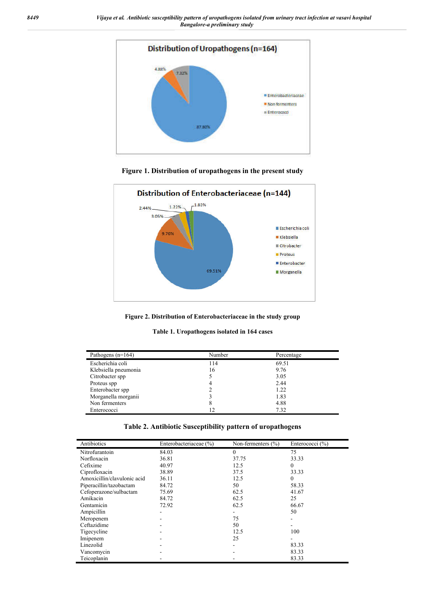

**Figure 1. Distribution of uropathogens in the present study**



**Figure 2. Distribution of Enterobacteriaceae in the study group**

|  | Table 1. Uropathogens isolated in 164 cases |  |  |  |  |
|--|---------------------------------------------|--|--|--|--|
|--|---------------------------------------------|--|--|--|--|

| Pathogens $(n=164)$  | Number | Percentage |  |
|----------------------|--------|------------|--|
| Escherichia coli     | 114    | 69.51      |  |
| Klebsiella pneumonia | 16     | 9.76       |  |
| Citrobacter spp      |        | 3.05       |  |
| Proteus spp          |        | 2.44       |  |
| Enterobacter spp     |        | 1.22       |  |
| Morganella morganii  |        | 1.83       |  |
| Non fermenters       | δ      | 4.88       |  |
| Enterococci          |        | 7.32       |  |

| Antibiotics                 | Enterobacteriaceae (%) | Non-fermenters $(\% )$ | Enterococci $(\% )$ |
|-----------------------------|------------------------|------------------------|---------------------|
| Nitrofurantoin              | 84.03                  | $\theta$               | 75                  |
| Norfloxacin                 | 36.81                  | 37.75                  | 33.33               |
| Cefixime                    | 40.97                  | 12.5                   | 0                   |
| Ciprofloxacin               | 38.89                  | 37.5                   | 33.33               |
| Amoxicillin/clavulonic acid | 36.11                  | 12.5                   | $\bf{0}$            |
| Piperacillin/tazobactam     | 84.72                  | 50                     | 58.33               |
| Cefoperazone/sulbactam      | 75.69                  | 62.5                   | 41.67               |
| Amikacin                    | 84.72                  | 62.5                   | 25                  |
| Gentamicin                  | 72.92                  | 62.5                   | 66.67               |
| Ampicillin                  |                        |                        | 50                  |
| Meropenem                   |                        | 75                     |                     |
| Ceftazidime                 |                        | 50                     |                     |
| Tigecycline                 |                        | 12.5                   | 100                 |
| Imipenem                    |                        | 25                     |                     |
| Linezolid                   |                        | ۰                      | 83.33               |
| Vancomycin                  |                        |                        | 83.33               |
| Teicoplanin                 |                        |                        | 83.33               |

| Table 2. Antibiotic Susceptibility pattern of uropathogens |  |  |  |
|------------------------------------------------------------|--|--|--|
|                                                            |  |  |  |